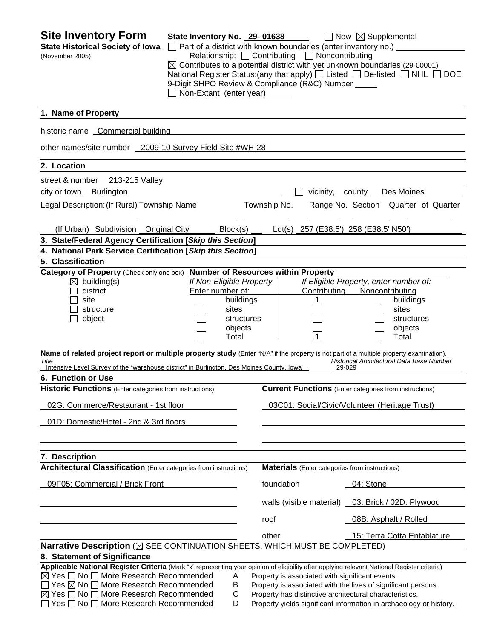| <b>Site Inventory Form</b><br><b>State Historical Society of Iowa</b><br>(November 2005)                                                                                                                                                                                                                                                                                                                                                                                                                                                                                       | State Inventory No. 29-01638<br>$\Box$ Part of a district with known boundaries (enter inventory no.) $\Box$<br>9-Digit SHPO Review & Compliance (R&C) Number _____<br>Non-Extant (enter year) _____ |              | Relationship: $\Box$ Contributing $\Box$ Noncontributing | $\Box$ New $\boxtimes$ Supplemental<br>$\boxtimes$ Contributes to a potential district with yet unknown boundaries (29-00001)<br>National Register Status: (any that apply) [ Listed [ De-listed [ NHL [                                                                                    | <b>DOE</b> |
|--------------------------------------------------------------------------------------------------------------------------------------------------------------------------------------------------------------------------------------------------------------------------------------------------------------------------------------------------------------------------------------------------------------------------------------------------------------------------------------------------------------------------------------------------------------------------------|------------------------------------------------------------------------------------------------------------------------------------------------------------------------------------------------------|--------------|----------------------------------------------------------|---------------------------------------------------------------------------------------------------------------------------------------------------------------------------------------------------------------------------------------------------------------------------------------------|------------|
| 1. Name of Property                                                                                                                                                                                                                                                                                                                                                                                                                                                                                                                                                            |                                                                                                                                                                                                      |              |                                                          |                                                                                                                                                                                                                                                                                             |            |
| historic name Commercial building                                                                                                                                                                                                                                                                                                                                                                                                                                                                                                                                              |                                                                                                                                                                                                      |              |                                                          |                                                                                                                                                                                                                                                                                             |            |
| other names/site number 2009-10 Survey Field Site #WH-28                                                                                                                                                                                                                                                                                                                                                                                                                                                                                                                       |                                                                                                                                                                                                      |              |                                                          |                                                                                                                                                                                                                                                                                             |            |
| 2. Location                                                                                                                                                                                                                                                                                                                                                                                                                                                                                                                                                                    |                                                                                                                                                                                                      |              |                                                          |                                                                                                                                                                                                                                                                                             |            |
| street & number 213-215 Valley                                                                                                                                                                                                                                                                                                                                                                                                                                                                                                                                                 |                                                                                                                                                                                                      |              |                                                          |                                                                                                                                                                                                                                                                                             |            |
| city or town Burlington                                                                                                                                                                                                                                                                                                                                                                                                                                                                                                                                                        |                                                                                                                                                                                                      |              | vicinity, county                                         | Des Moines                                                                                                                                                                                                                                                                                  |            |
| Legal Description: (If Rural) Township Name                                                                                                                                                                                                                                                                                                                                                                                                                                                                                                                                    |                                                                                                                                                                                                      | Township No. |                                                          | Range No. Section Quarter of Quarter                                                                                                                                                                                                                                                        |            |
| (If Urban) Subdivision Original City                                                                                                                                                                                                                                                                                                                                                                                                                                                                                                                                           | Block(s)                                                                                                                                                                                             |              |                                                          | Lot(s) 257 (E38.5') 258 (E38.5' N50')                                                                                                                                                                                                                                                       |            |
| 3. State/Federal Agency Certification [Skip this Section]                                                                                                                                                                                                                                                                                                                                                                                                                                                                                                                      |                                                                                                                                                                                                      |              |                                                          |                                                                                                                                                                                                                                                                                             |            |
| 4. National Park Service Certification [Skip this Section]                                                                                                                                                                                                                                                                                                                                                                                                                                                                                                                     |                                                                                                                                                                                                      |              |                                                          |                                                                                                                                                                                                                                                                                             |            |
| 5. Classification                                                                                                                                                                                                                                                                                                                                                                                                                                                                                                                                                              |                                                                                                                                                                                                      |              |                                                          |                                                                                                                                                                                                                                                                                             |            |
| Category of Property (Check only one box) Number of Resources within Property<br>$\boxtimes$ building(s)<br>district<br>site<br>structure<br>object<br>Name of related project report or multiple property study (Enter "N/A" if the property is not part of a multiple property examination).<br>Title<br>Intensive Level Survey of the "warehouse district" in Burlington, Des Moines County, Iowa<br>6. Function or Use<br><b>Historic Functions</b> (Enter categories from instructions)<br>02G: Commerce/Restaurant - 1st floor<br>01D: Domestic/Hotel - 2nd & 3rd floors | If Non-Eligible Property<br>Enter number of:<br>buildings<br>sites<br>structures<br>objects<br>Total                                                                                                 |              | Contributing<br>$\mathbf{1}$<br>$\overline{1}$           | If Eligible Property, enter number of:<br>Noncontributing<br>buildings<br>sites<br>structures<br>objects<br>Total<br>Historical Architectural Data Base Number<br>29-029<br><b>Current Functions</b> (Enter categories from instructions)<br>03C01: Social/Civic/Volunteer (Heritage Trust) |            |
| 7. Description<br><b>Architectural Classification</b> (Enter categories from instructions)                                                                                                                                                                                                                                                                                                                                                                                                                                                                                     |                                                                                                                                                                                                      |              | <b>Materials</b> (Enter categories from instructions)    |                                                                                                                                                                                                                                                                                             |            |
| 09F05: Commercial / Brick Front                                                                                                                                                                                                                                                                                                                                                                                                                                                                                                                                                |                                                                                                                                                                                                      | foundation   |                                                          | 04: Stone                                                                                                                                                                                                                                                                                   |            |
|                                                                                                                                                                                                                                                                                                                                                                                                                                                                                                                                                                                |                                                                                                                                                                                                      |              |                                                          | walls (visible material) _03: Brick / 02D: Plywood                                                                                                                                                                                                                                          |            |
|                                                                                                                                                                                                                                                                                                                                                                                                                                                                                                                                                                                |                                                                                                                                                                                                      | roof         |                                                          | 08B: Asphalt / Rolled                                                                                                                                                                                                                                                                       |            |
|                                                                                                                                                                                                                                                                                                                                                                                                                                                                                                                                                                                |                                                                                                                                                                                                      | other        |                                                          | 15: Terra Cotta Entablature                                                                                                                                                                                                                                                                 |            |
| Narrative Description ( $\boxtimes$ SEE CONTINUATION SHEETS, WHICH MUST BE COMPLETED)                                                                                                                                                                                                                                                                                                                                                                                                                                                                                          |                                                                                                                                                                                                      |              |                                                          |                                                                                                                                                                                                                                                                                             |            |
| 8. Statement of Significance<br>Applicable National Register Criteria (Mark "x" representing your opinion of eligibility after applying relevant National Register criteria)                                                                                                                                                                                                                                                                                                                                                                                                   |                                                                                                                                                                                                      |              |                                                          |                                                                                                                                                                                                                                                                                             |            |
| $\boxtimes$ Yes $\Box$ No $\Box$ More Research Recommended<br>$\Box$ Yes $\boxtimes$ No $\Box$ More Research Recommended<br>$\boxtimes$ Yes $\Box$ No $\Box$ More Research Recommended<br>Yes □ No □ More Research Recommended                                                                                                                                                                                                                                                                                                                                                 | A<br>B<br>C<br>D                                                                                                                                                                                     |              | Property is associated with significant events.          | Property is associated with the lives of significant persons.<br>Property has distinctive architectural characteristics.<br>Property yields significant information in archaeology or history.                                                                                              |            |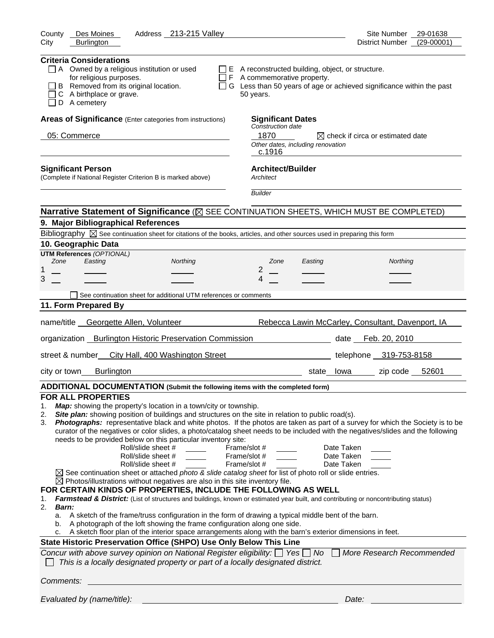| Address _213-215 Valley<br>Des Moines<br>County                                                                                                                                                                                                                                                                                                                                                                                                                                                                                                                                                                                                                                                                                                                                                                                                                                                                                                                                                                                                                                                                                                                                                                                                                                                                                                                                                                                                                                                | Site Number<br>29-01638                                                     |
|------------------------------------------------------------------------------------------------------------------------------------------------------------------------------------------------------------------------------------------------------------------------------------------------------------------------------------------------------------------------------------------------------------------------------------------------------------------------------------------------------------------------------------------------------------------------------------------------------------------------------------------------------------------------------------------------------------------------------------------------------------------------------------------------------------------------------------------------------------------------------------------------------------------------------------------------------------------------------------------------------------------------------------------------------------------------------------------------------------------------------------------------------------------------------------------------------------------------------------------------------------------------------------------------------------------------------------------------------------------------------------------------------------------------------------------------------------------------------------------------|-----------------------------------------------------------------------------|
| <b>Burlington</b><br>City                                                                                                                                                                                                                                                                                                                                                                                                                                                                                                                                                                                                                                                                                                                                                                                                                                                                                                                                                                                                                                                                                                                                                                                                                                                                                                                                                                                                                                                                      | $(29-00001)$<br>District Number                                             |
| <b>Criteria Considerations</b><br>$\Box$ A Owned by a religious institution or used<br>$\Box$ E A reconstructed building, object, or structure.<br>for religious purposes.<br>$\Box$ F A commemorative property.<br>B Removed from its original location.<br>C A birthplace or grave.<br>50 years.<br>D A cemetery                                                                                                                                                                                                                                                                                                                                                                                                                                                                                                                                                                                                                                                                                                                                                                                                                                                                                                                                                                                                                                                                                                                                                                             | $\Box$ G Less than 50 years of age or achieved significance within the past |
| Areas of Significance (Enter categories from instructions)<br><b>Significant Dates</b>                                                                                                                                                                                                                                                                                                                                                                                                                                                                                                                                                                                                                                                                                                                                                                                                                                                                                                                                                                                                                                                                                                                                                                                                                                                                                                                                                                                                         |                                                                             |
| Construction date<br>05: Commerce<br>1870<br>Other dates, including renovation<br>c.1916                                                                                                                                                                                                                                                                                                                                                                                                                                                                                                                                                                                                                                                                                                                                                                                                                                                                                                                                                                                                                                                                                                                                                                                                                                                                                                                                                                                                       | $\boxtimes$ check if circa or estimated date                                |
| <b>Architect/Builder</b><br><b>Significant Person</b><br>(Complete if National Register Criterion B is marked above)<br>Architect                                                                                                                                                                                                                                                                                                                                                                                                                                                                                                                                                                                                                                                                                                                                                                                                                                                                                                                                                                                                                                                                                                                                                                                                                                                                                                                                                              |                                                                             |
| <b>Builder</b>                                                                                                                                                                                                                                                                                                                                                                                                                                                                                                                                                                                                                                                                                                                                                                                                                                                                                                                                                                                                                                                                                                                                                                                                                                                                                                                                                                                                                                                                                 |                                                                             |
| Narrative Statement of Significance ( $\boxtimes$ SEE CONTINUATION SHEETS, WHICH MUST BE COMPLETED)                                                                                                                                                                                                                                                                                                                                                                                                                                                                                                                                                                                                                                                                                                                                                                                                                                                                                                                                                                                                                                                                                                                                                                                                                                                                                                                                                                                            |                                                                             |
| 9. Major Bibliographical References                                                                                                                                                                                                                                                                                                                                                                                                                                                                                                                                                                                                                                                                                                                                                                                                                                                                                                                                                                                                                                                                                                                                                                                                                                                                                                                                                                                                                                                            |                                                                             |
| Bibliography $\boxtimes$ See continuation sheet for citations of the books, articles, and other sources used in preparing this form                                                                                                                                                                                                                                                                                                                                                                                                                                                                                                                                                                                                                                                                                                                                                                                                                                                                                                                                                                                                                                                                                                                                                                                                                                                                                                                                                            |                                                                             |
| 10. Geographic Data                                                                                                                                                                                                                                                                                                                                                                                                                                                                                                                                                                                                                                                                                                                                                                                                                                                                                                                                                                                                                                                                                                                                                                                                                                                                                                                                                                                                                                                                            |                                                                             |
| <b>UTM References (OPTIONAL)</b>                                                                                                                                                                                                                                                                                                                                                                                                                                                                                                                                                                                                                                                                                                                                                                                                                                                                                                                                                                                                                                                                                                                                                                                                                                                                                                                                                                                                                                                               |                                                                             |
| Easting<br>Zone<br>Northing<br>Zone<br>Easting                                                                                                                                                                                                                                                                                                                                                                                                                                                                                                                                                                                                                                                                                                                                                                                                                                                                                                                                                                                                                                                                                                                                                                                                                                                                                                                                                                                                                                                 | <b>Northing</b>                                                             |
| 2<br>1<br>3<br>4                                                                                                                                                                                                                                                                                                                                                                                                                                                                                                                                                                                                                                                                                                                                                                                                                                                                                                                                                                                                                                                                                                                                                                                                                                                                                                                                                                                                                                                                               |                                                                             |
|                                                                                                                                                                                                                                                                                                                                                                                                                                                                                                                                                                                                                                                                                                                                                                                                                                                                                                                                                                                                                                                                                                                                                                                                                                                                                                                                                                                                                                                                                                |                                                                             |
| See continuation sheet for additional UTM references or comments                                                                                                                                                                                                                                                                                                                                                                                                                                                                                                                                                                                                                                                                                                                                                                                                                                                                                                                                                                                                                                                                                                                                                                                                                                                                                                                                                                                                                               |                                                                             |
| 11. Form Prepared By                                                                                                                                                                                                                                                                                                                                                                                                                                                                                                                                                                                                                                                                                                                                                                                                                                                                                                                                                                                                                                                                                                                                                                                                                                                                                                                                                                                                                                                                           |                                                                             |
| name/title Georgette Allen, Volunteer                                                                                                                                                                                                                                                                                                                                                                                                                                                                                                                                                                                                                                                                                                                                                                                                                                                                                                                                                                                                                                                                                                                                                                                                                                                                                                                                                                                                                                                          | Rebecca Lawin McCarley, Consultant, Davenport, IA                           |
| organization Burlington Historic Preservation Commission                                                                                                                                                                                                                                                                                                                                                                                                                                                                                                                                                                                                                                                                                                                                                                                                                                                                                                                                                                                                                                                                                                                                                                                                                                                                                                                                                                                                                                       | Feb. 20, 2010<br>date                                                       |
| street & number_ City Hall, 400 Washington Street                                                                                                                                                                                                                                                                                                                                                                                                                                                                                                                                                                                                                                                                                                                                                                                                                                                                                                                                                                                                                                                                                                                                                                                                                                                                                                                                                                                                                                              | telephone 319-753-8158                                                      |
| city or town<br><b>Burlington</b>                                                                                                                                                                                                                                                                                                                                                                                                                                                                                                                                                                                                                                                                                                                                                                                                                                                                                                                                                                                                                                                                                                                                                                                                                                                                                                                                                                                                                                                              | zip code 52601<br>state lowa                                                |
| ADDITIONAL DOCUMENTATION (Submit the following items with the completed form)                                                                                                                                                                                                                                                                                                                                                                                                                                                                                                                                                                                                                                                                                                                                                                                                                                                                                                                                                                                                                                                                                                                                                                                                                                                                                                                                                                                                                  |                                                                             |
| <b>FOR ALL PROPERTIES</b>                                                                                                                                                                                                                                                                                                                                                                                                                                                                                                                                                                                                                                                                                                                                                                                                                                                                                                                                                                                                                                                                                                                                                                                                                                                                                                                                                                                                                                                                      |                                                                             |
| Map: showing the property's location in a town/city or township.<br>1.<br>Site plan: showing position of buildings and structures on the site in relation to public road(s).<br>2.<br>Photographs: representative black and white photos. If the photos are taken as part of a survey for which the Society is to be<br>3.<br>curator of the negatives or color slides, a photo/catalog sheet needs to be included with the negatives/slides and the following<br>needs to be provided below on this particular inventory site:<br>Roll/slide sheet #<br>Frame/slot #<br>Roll/slide sheet #<br>Frame/slot #<br>Frame/slot #<br>Roll/slide sheet #<br>$\boxtimes$ See continuation sheet or attached photo & slide catalog sheet for list of photo roll or slide entries.<br>$\boxtimes$ Photos/illustrations without negatives are also in this site inventory file.<br>FOR CERTAIN KINDS OF PROPERTIES, INCLUDE THE FOLLOWING AS WELL<br>Farmstead & District: (List of structures and buildings, known or estimated year built, and contributing or noncontributing status)<br>1.<br>2.<br><b>Barn:</b><br>a. A sketch of the frame/truss configuration in the form of drawing a typical middle bent of the barn.<br>A photograph of the loft showing the frame configuration along one side.<br>b.<br>A sketch floor plan of the interior space arrangements along with the barn's exterior dimensions in feet.<br>c.<br>State Historic Preservation Office (SHPO) Use Only Below This Line | Date Taken<br>Date Taken<br>Date Taken                                      |
| Concur with above survey opinion on National Register eligibility: □ Yes □ No □ More Research Recommended                                                                                                                                                                                                                                                                                                                                                                                                                                                                                                                                                                                                                                                                                                                                                                                                                                                                                                                                                                                                                                                                                                                                                                                                                                                                                                                                                                                      |                                                                             |
| This is a locally designated property or part of a locally designated district.                                                                                                                                                                                                                                                                                                                                                                                                                                                                                                                                                                                                                                                                                                                                                                                                                                                                                                                                                                                                                                                                                                                                                                                                                                                                                                                                                                                                                |                                                                             |
| Comments:                                                                                                                                                                                                                                                                                                                                                                                                                                                                                                                                                                                                                                                                                                                                                                                                                                                                                                                                                                                                                                                                                                                                                                                                                                                                                                                                                                                                                                                                                      |                                                                             |
| Evaluated by (name/title):                                                                                                                                                                                                                                                                                                                                                                                                                                                                                                                                                                                                                                                                                                                                                                                                                                                                                                                                                                                                                                                                                                                                                                                                                                                                                                                                                                                                                                                                     | Date:                                                                       |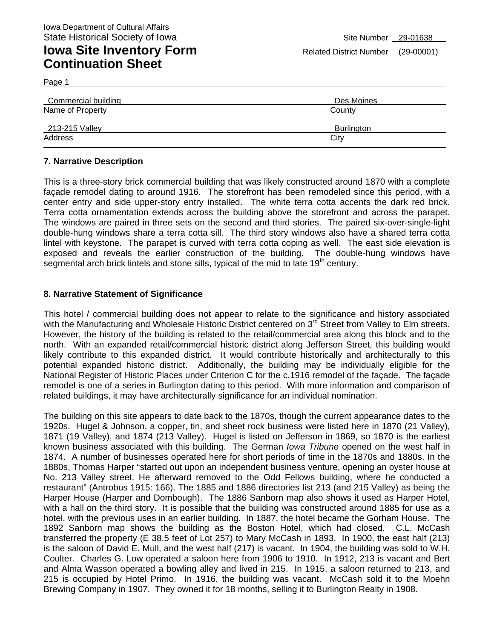Page 1

| Commercial building | Des Moines |
|---------------------|------------|
| Name of Property    | County     |
| 213-215 Valley      | Burlington |
| Address             | City       |

### **7. Narrative Description**

This is a three-story brick commercial building that was likely constructed around 1870 with a complete façade remodel dating to around 1916. The storefront has been remodeled since this period, with a center entry and side upper-story entry installed. The white terra cotta accents the dark red brick. Terra cotta ornamentation extends across the building above the storefront and across the parapet. The windows are paired in three sets on the second and third stories. The paired six-over-single-light double-hung windows share a terra cotta sill. The third story windows also have a shared terra cotta lintel with keystone. The parapet is curved with terra cotta coping as well. The east side elevation is exposed and reveals the earlier construction of the building. The double-hung windows have segmental arch brick lintels and stone sills, typical of the mid to late  $19<sup>th</sup>$  century.

### **8. Narrative Statement of Significance**

This hotel / commercial building does not appear to relate to the significance and history associated with the Manufacturing and Wholesale Historic District centered on 3<sup>rd</sup> Street from Valley to Elm streets. However, the history of the building is related to the retail/commercial area along this block and to the north. With an expanded retail/commercial historic district along Jefferson Street, this building would likely contribute to this expanded district. It would contribute historically and architecturally to this potential expanded historic district. Additionally, the building may be individually eligible for the National Register of Historic Places under Criterion C for the c.1916 remodel of the façade. The façade remodel is one of a series in Burlington dating to this period. With more information and comparison of related buildings, it may have architecturally significance for an individual nomination.

The building on this site appears to date back to the 1870s, though the current appearance dates to the 1920s. Hugel & Johnson, a copper, tin, and sheet rock business were listed here in 1870 (21 Valley), 1871 (19 Valley), and 1874 (213 Valley). Hugel is listed on Jefferson in 1869, so 1870 is the earliest known business associated with this building. The German *Iowa Tribune* opened on the west half in 1874. A number of businesses operated here for short periods of time in the 1870s and 1880s. In the 1880s, Thomas Harper "started out upon an independent business venture, opening an oyster house at No. 213 Valley street. He afterward removed to the Odd Fellows building, where he conducted a restaurant" (Antrobus 1915: 166). The 1885 and 1886 directories list 213 (and 215 Valley) as being the Harper House (Harper and Dombough). The 1886 Sanborn map also shows it used as Harper Hotel, with a hall on the third story. It is possible that the building was constructed around 1885 for use as a hotel, with the previous uses in an earlier building. In 1887, the hotel became the Gorham House. The 1892 Sanborn map shows the building as the Boston Hotel, which had closed. C.L. McCash transferred the property (E 38.5 feet of Lot 257) to Mary McCash in 1893. In 1900, the east half (213) is the saloon of David E. Mull, and the west half (217) is vacant. In 1904, the building was sold to W.H. Coulter. Charles G. Low operated a saloon here from 1906 to 1910. In 1912, 213 is vacant and Bert and Alma Wasson operated a bowling alley and lived in 215. In 1915, a saloon returned to 213, and 215 is occupied by Hotel Primo. In 1916, the building was vacant. McCash sold it to the Moehn Brewing Company in 1907. They owned it for 18 months, selling it to Burlington Realty in 1908.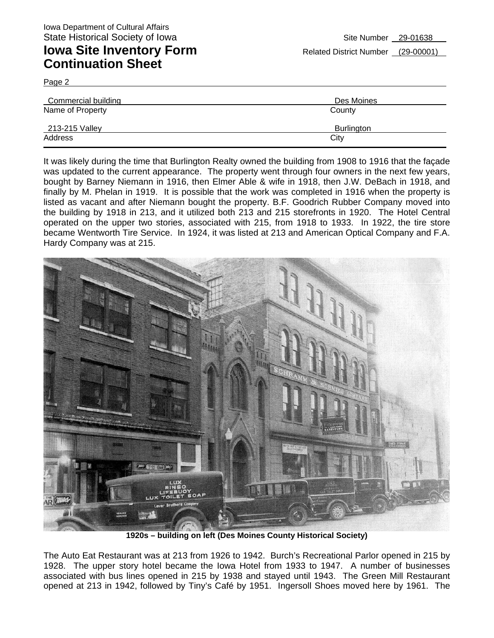Page 2

| <b>Commercial building</b> | Des Moines |
|----------------------------|------------|
| Name of Property           | County     |
| 213-215 Valley             | Burlington |
| Address                    | City       |

It was likely during the time that Burlington Realty owned the building from 1908 to 1916 that the façade was updated to the current appearance. The property went through four owners in the next few years, bought by Barney Niemann in 1916, then Elmer Able & wife in 1918, then J.W. DeBach in 1918, and finally by M. Phelan in 1919. It is possible that the work was completed in 1916 when the property is listed as vacant and after Niemann bought the property. B.F. Goodrich Rubber Company moved into the building by 1918 in 213, and it utilized both 213 and 215 storefronts in 1920. The Hotel Central operated on the upper two stories, associated with 215, from 1918 to 1933. In 1922, the tire store became Wentworth Tire Service. In 1924, it was listed at 213 and American Optical Company and F.A. Hardy Company was at 215.



**1920s – building on left (Des Moines County Historical Society)** 

The Auto Eat Restaurant was at 213 from 1926 to 1942. Burch's Recreational Parlor opened in 215 by 1928. The upper story hotel became the Iowa Hotel from 1933 to 1947. A number of businesses associated with bus lines opened in 215 by 1938 and stayed until 1943. The Green Mill Restaurant opened at 213 in 1942, followed by Tiny's Café by 1951. Ingersoll Shoes moved here by 1961. The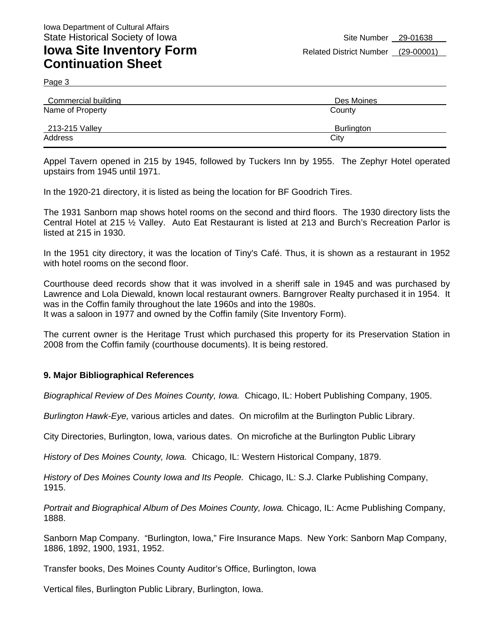Page 3

| Commercial building | Des Moines |
|---------------------|------------|
| Name of Property    | County     |
| 213-215 Valley      | Burlington |
| Address             | City       |

Appel Tavern opened in 215 by 1945, followed by Tuckers Inn by 1955. The Zephyr Hotel operated upstairs from 1945 until 1971.

In the 1920-21 directory, it is listed as being the location for BF Goodrich Tires.

The 1931 Sanborn map shows hotel rooms on the second and third floors. The 1930 directory lists the Central Hotel at 215 ½ Valley. Auto Eat Restaurant is listed at 213 and Burch's Recreation Parlor is listed at 215 in 1930.

In the 1951 city directory, it was the location of Tiny's Café. Thus, it is shown as a restaurant in 1952 with hotel rooms on the second floor.

Courthouse deed records show that it was involved in a sheriff sale in 1945 and was purchased by Lawrence and Lola Diewald, known local restaurant owners. Barngrover Realty purchased it in 1954. It was in the Coffin family throughout the late 1960s and into the 1980s.

It was a saloon in 1977 and owned by the Coffin family (Site Inventory Form).

The current owner is the Heritage Trust which purchased this property for its Preservation Station in 2008 from the Coffin family (courthouse documents). It is being restored.

#### **9. Major Bibliographical References**

*Biographical Review of Des Moines County, Iowa.* Chicago, IL: Hobert Publishing Company, 1905.

*Burlington Hawk-Eye,* various articles and dates. On microfilm at the Burlington Public Library.

City Directories, Burlington, Iowa, various dates. On microfiche at the Burlington Public Library

*History of Des Moines County, Iowa.* Chicago, IL: Western Historical Company, 1879.

*History of Des Moines County Iowa and Its People.* Chicago, IL: S.J. Clarke Publishing Company, 1915.

*Portrait and Biographical Album of Des Moines County, Iowa.* Chicago, IL: Acme Publishing Company, 1888.

Sanborn Map Company. "Burlington, Iowa," Fire Insurance Maps. New York: Sanborn Map Company, 1886, 1892, 1900, 1931, 1952.

Transfer books, Des Moines County Auditor's Office, Burlington, Iowa

Vertical files, Burlington Public Library, Burlington, Iowa.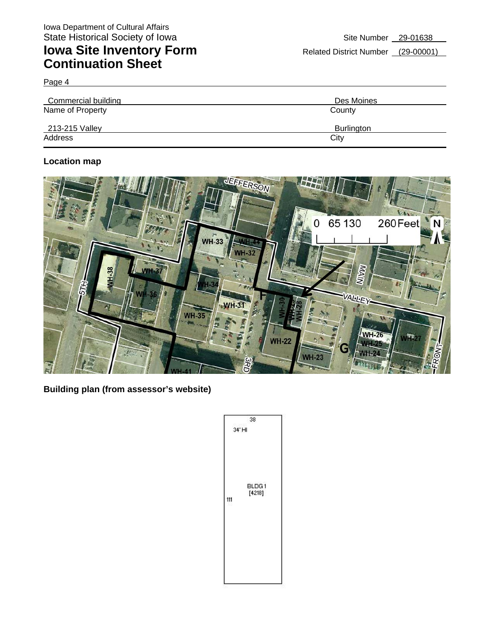Page 4

| Commercial building | Des Moines |
|---------------------|------------|
| Name of Property    | County     |
| 213-215 Valley      | Burlington |
| Address             | City       |

### **Location map**



**Building plan (from assessor's website)** 

|     | 38              |
|-----|-----------------|
|     | 34' HI<br>BLDG1 |
| 111 | [4218]          |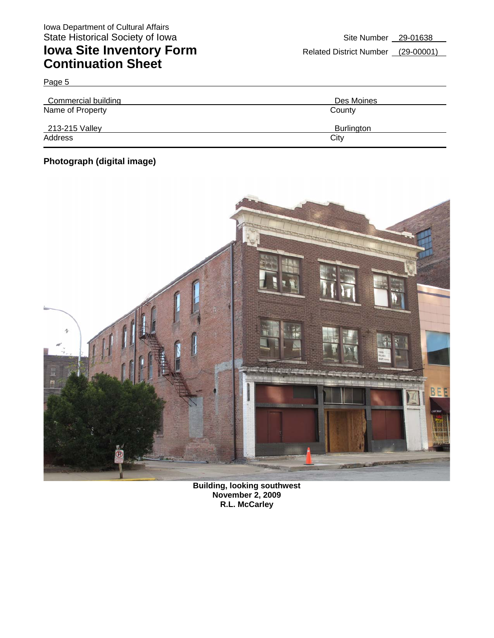| Commercial building | Des Moines |
|---------------------|------------|
| Name of Property    | County     |
| 213-215 Valley      | Burlington |
| Address             | City       |

### **Photograph (digital image)**

Page 5



**Building, looking southwest November 2, 2009 R.L. McCarley**